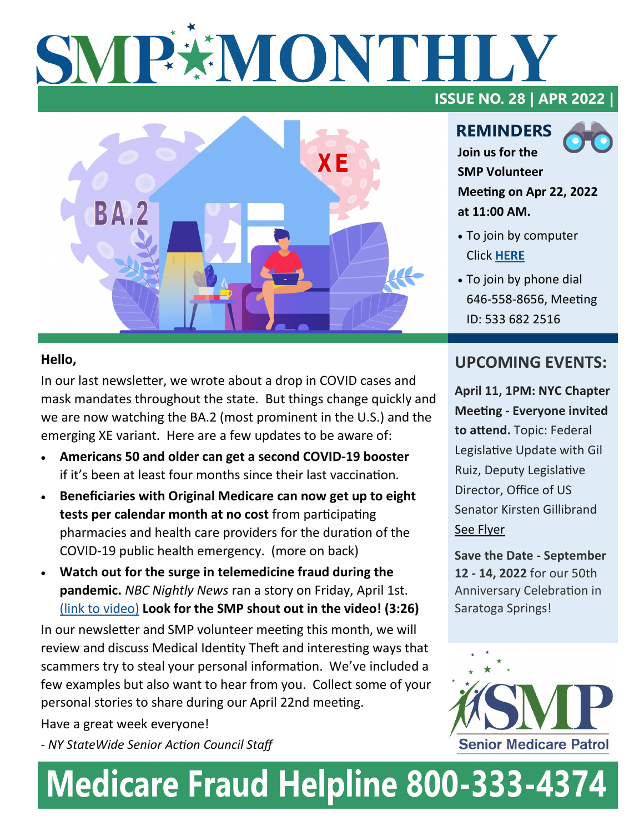# SMP\*MONTHL



### **ISSUE NO. 28 | APR 2022 |**

**REMINDERS Join us for the** 



**SMP Volunteer Meeting on Apr 22, 2022 at 11:00 AM.** 

- To join by computer Click **[HERE](https://us02web.zoom.us/j/5336822516)**
- To join by phone dial 646-558-8656, Meeting ID: 533 682 2516

### **Hello,**

In our last newsletter, we wrote about a drop in COVID cases and mask mandates throughout the state. But things change quickly and we are now watching the BA.2 (most prominent in the U.S.) and the emerging XE variant. Here are a few updates to be aware of:

- **Americans 50 and older can get a second COVID-19 booster**  if it's been at least four months since their last vaccination.
- **Beneficiaries with Original Medicare can now get up to eight tests per calendar month at no cost** from participating pharmacies and health care providers for the duration of the COVID-19 public health emergency. (more on back)
- **Watch out for the surge in telemedicine fraud during the pandemic.** *NBC Nightly News* ran a story on Friday, April 1st. [\(link to video\)](The%20Surge%20in%20Telemedicine%20Fraud%20During%20the%20Pandemic) **Look for the SMP shout out in the video! (3:26)**

In our newsletter and SMP volunteer meeting this month, we will review and discuss Medical Identity Theft and interesting ways that scammers try to steal your personal information. We've included a few examples but also want to hear from you. Collect some of your personal stories to share during our April 22nd meeting.

Have a great week everyone!

- *NY StateWide Senior Action Council Staff*

### **UPCOMING EVENTS:**

**April 11, 1PM: NYC Chapter Meeting - Everyone invited to attend.** Topic: Federal Legislative Update with Gil Ruiz, Deputy Legislative Director, Office of US Senator Kirsten Gillibrand [See Flyer](https://mcusercontent.com/fb7d8a3fbaffb75903ba3f8c6/files/ce00b5d9-0d0b-efa9-e823-730e8905465e/NYC_Chapter_Meeting_Notice_April_2022.pdf) 

**Save the Date - September 12 - 14, 2022** for our 50th Anniversary Celebration in Saratoga Springs!



## **Medicare Fraud Helpline 800-333-4374**